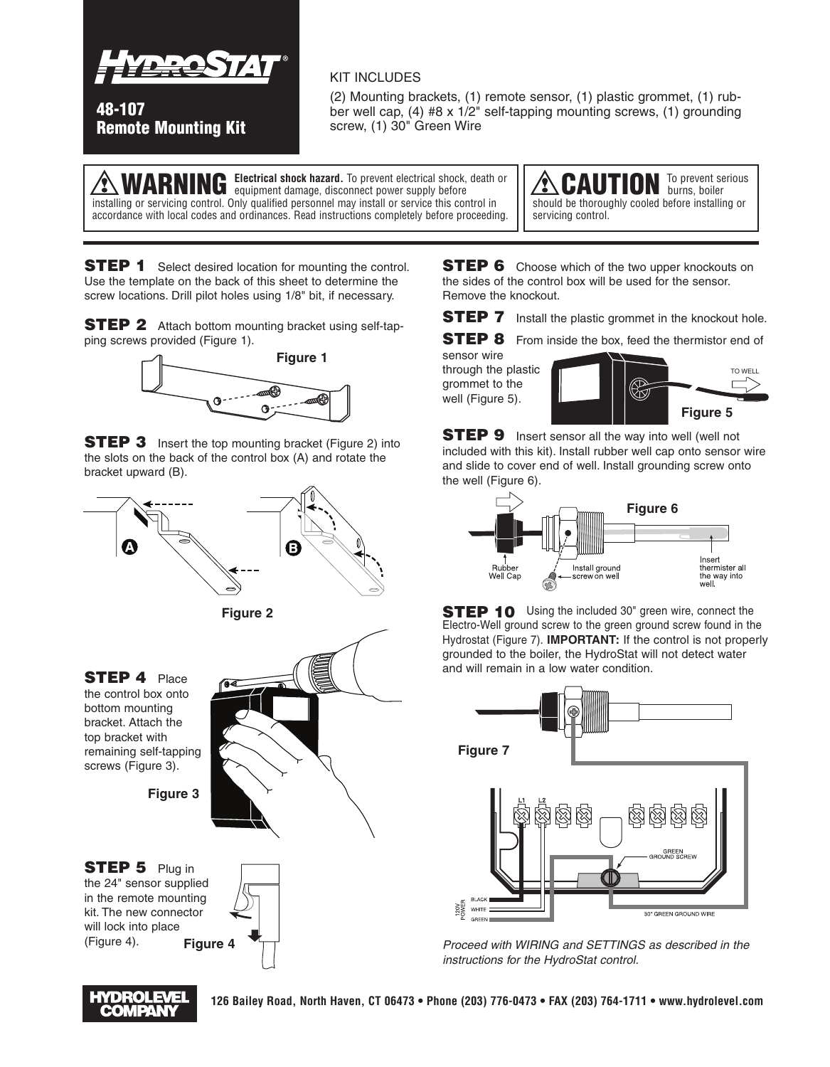

**48-107 Remote Mounting Kit**

## KIT INCLUDES

(2) Mounting brackets, (1) remote sensor, (1) plastic grommet, (1) rubber well cap, (4) #8 x 1/2" self-tapping mounting screws, (1) grounding screw, (1) 30" Green Wire

**Referrical shock hazard.** To prevent electrical shock, death or continuous demand disconnect nower supply before equipment damage, disconnect power supply before installing or servicing control. Only qualified personnel may install or service this control in accordance with local codes and ordinances. Read instructions completely before proceeding.

CAUTION To prevent serious should be thoroughly cooled before installing or servicing control.

**STEP 1** Select desired location for mounting the control. Use the template on the back of this sheet to determine the screw locations. Drill pilot holes using 1/8" bit, if necessary.

**STEP 2** Attach bottom mounting bracket using self-tapping screws provided (Figure 1).



**STEP 3** Insert the top mounting bracket (Figure 2) into the slots on the back of the control box (A) and rotate the bracket upward (B).



**STEP 4** Place the control box onto bottom mounting bracket. Attach the top bracket with remaining self-tapping screws (Figure 3).

**Figure 3**



**STEP 5** Plug in the 24" sensor supplied in the remote mounting kit. The new connector will lock into place (Figure 4). **Figure 4**



**126 Bailey Road, North Haven, CT 06473 • Phone (203) 776-0473 • FAX (203) 764-1711 • www.hydrolevel.com**

**STEP 6** Choose which of the two upper knockouts on the sides of the control box will be used for the sensor. Remove the knockout.

**STEP 7** Install the plastic grommet in the knockout hole.

**STEP 8** From inside the box, feed the thermistor end of sensor wire through the plastic grommet to the well (Figure 5).



**STEP 9** Insert sensor all the way into well (well not included with this kit). Install rubber well cap onto sensor wire and slide to cover end of well. Install grounding screw onto the well (Figure 6).



**STEP 10** Using the included 30" green wire, connect the Electro-Well ground screw to the green ground screw found in the Hydrostat (Figure 7). **IMPORTANT:** If the control is not properly grounded to the boiler, the HydroStat will not detect water and will remain in a low water condition.



*Proceed with WIRING and SETTINGS as described in the instructions for the HydroStat control.*